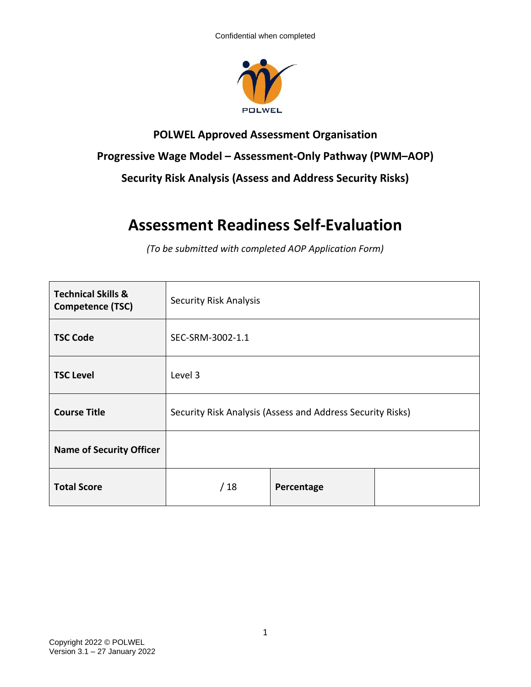

## **POLWEL Approved Assessment Organisation Progressive Wage Model – Assessment-Only Pathway (PWM–AOP) Security Risk Analysis (Assess and Address Security Risks)**

## **Assessment Readiness Self-Evaluation**

*(To be submitted with completed AOP Application Form)*

| <b>Technical Skills &amp;</b><br>Competence (TSC) | <b>Security Risk Analysis</b>                              |            |  |
|---------------------------------------------------|------------------------------------------------------------|------------|--|
| <b>TSC Code</b>                                   | SEC-SRM-3002-1.1                                           |            |  |
| <b>TSC Level</b>                                  | Level 3                                                    |            |  |
| <b>Course Title</b>                               | Security Risk Analysis (Assess and Address Security Risks) |            |  |
| <b>Name of Security Officer</b>                   |                                                            |            |  |
| <b>Total Score</b>                                | /18                                                        | Percentage |  |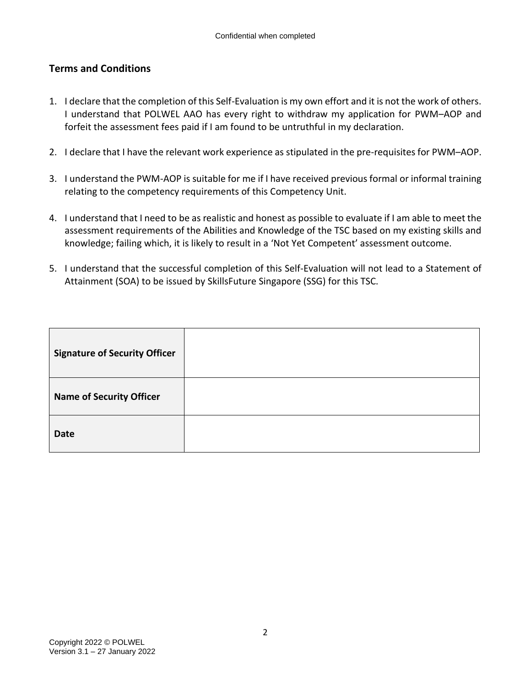## **Terms and Conditions**

- 1. I declare that the completion of this Self-Evaluation is my own effort and it is not the work of others. I understand that POLWEL AAO has every right to withdraw my application for PWM–AOP and forfeit the assessment fees paid if I am found to be untruthful in my declaration.
- 2. I declare that I have the relevant work experience as stipulated in the pre-requisites for PWM–AOP.
- 3. I understand the PWM-AOP is suitable for me if I have received previous formal or informal training relating to the competency requirements of this Competency Unit.
- 4. I understand that I need to be as realistic and honest as possible to evaluate if I am able to meet the assessment requirements of the Abilities and Knowledge of the TSC based on my existing skills and knowledge; failing which, it is likely to result in a 'Not Yet Competent' assessment outcome.
- 5. I understand that the successful completion of this Self-Evaluation will not lead to a Statement of Attainment (SOA) to be issued by SkillsFuture Singapore (SSG) for this TSC.

| <b>Signature of Security Officer</b> |  |
|--------------------------------------|--|
| <b>Name of Security Officer</b>      |  |
| <b>Date</b>                          |  |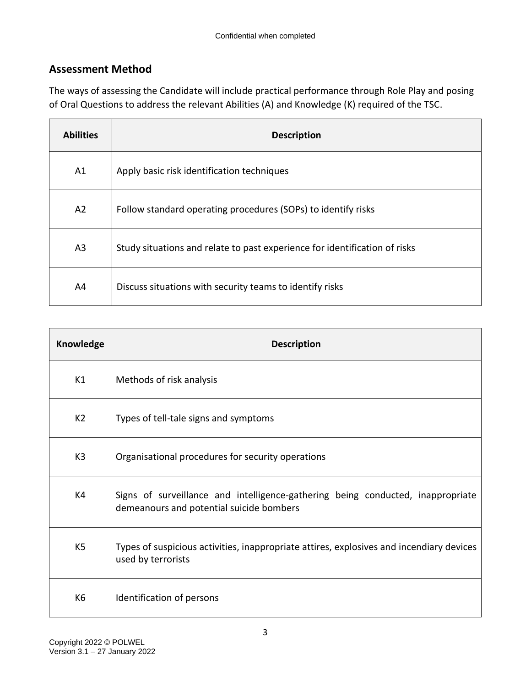## **Assessment Method**

The ways of assessing the Candidate will include practical performance through Role Play and posing of Oral Questions to address the relevant Abilities (A) and Knowledge (K) required of the TSC.

| <b>Abilities</b> | <b>Description</b>                                                         |
|------------------|----------------------------------------------------------------------------|
| A1               | Apply basic risk identification techniques                                 |
| A <sub>2</sub>   | Follow standard operating procedures (SOPs) to identify risks              |
| A <sub>3</sub>   | Study situations and relate to past experience for identification of risks |
| A4               | Discuss situations with security teams to identify risks                   |

| Knowledge      | <b>Description</b>                                                                                                          |
|----------------|-----------------------------------------------------------------------------------------------------------------------------|
| K1             | Methods of risk analysis                                                                                                    |
| K2             | Types of tell-tale signs and symptoms                                                                                       |
| K <sub>3</sub> | Organisational procedures for security operations                                                                           |
| K4             | Signs of surveillance and intelligence-gathering being conducted, inappropriate<br>demeanours and potential suicide bombers |
| K <sub>5</sub> | Types of suspicious activities, inappropriate attires, explosives and incendiary devices<br>used by terrorists              |
| K <sub>6</sub> | Identification of persons                                                                                                   |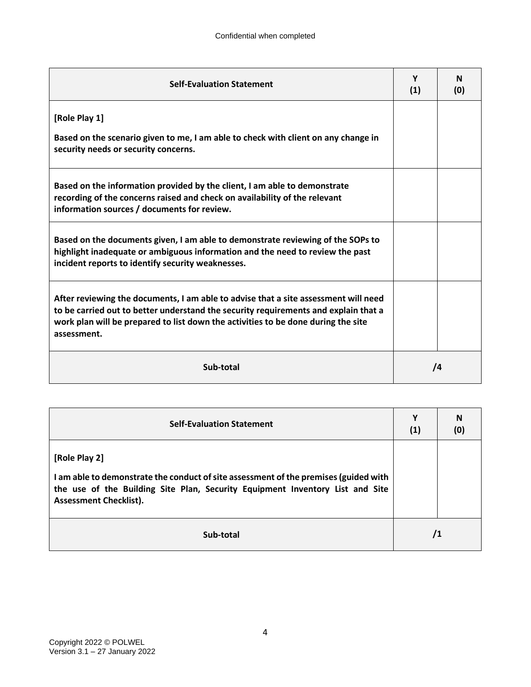| <b>Self-Evaluation Statement</b>                                                                                                                                                                                                                                               | Y<br>(1) | N<br>(0) |
|--------------------------------------------------------------------------------------------------------------------------------------------------------------------------------------------------------------------------------------------------------------------------------|----------|----------|
| [Role Play 1]                                                                                                                                                                                                                                                                  |          |          |
| Based on the scenario given to me, I am able to check with client on any change in<br>security needs or security concerns.                                                                                                                                                     |          |          |
| Based on the information provided by the client, I am able to demonstrate<br>recording of the concerns raised and check on availability of the relevant<br>information sources / documents for review.                                                                         |          |          |
| Based on the documents given, I am able to demonstrate reviewing of the SOPs to<br>highlight inadequate or ambiguous information and the need to review the past<br>incident reports to identify security weaknesses.                                                          |          |          |
| After reviewing the documents, I am able to advise that a site assessment will need<br>to be carried out to better understand the security requirements and explain that a<br>work plan will be prepared to list down the activities to be done during the site<br>assessment. |          |          |
| Sub-total                                                                                                                                                                                                                                                                      | 74       |          |

| <b>Self-Evaluation Statement</b>                                                                                                                                                                                        | Υ<br>(1) | N<br>(0) |
|-------------------------------------------------------------------------------------------------------------------------------------------------------------------------------------------------------------------------|----------|----------|
| [Role Play 2]<br>I am able to demonstrate the conduct of site assessment of the premises (guided with<br>the use of the Building Site Plan, Security Equipment Inventory List and Site<br><b>Assessment Checklist).</b> |          |          |
| Sub-total                                                                                                                                                                                                               | 71       |          |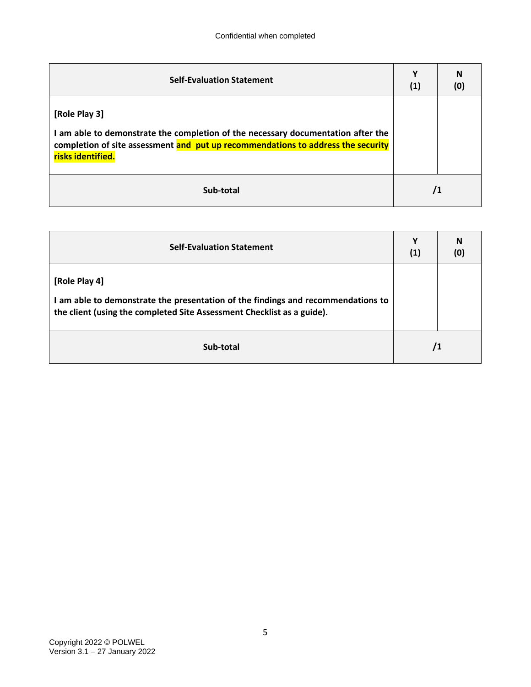| <b>Self-Evaluation Statement</b>                                                                                                                                                                           | (1) | N<br>(0) |
|------------------------------------------------------------------------------------------------------------------------------------------------------------------------------------------------------------|-----|----------|
| [Role Play 3]<br>I am able to demonstrate the completion of the necessary documentation after the<br>completion of site assessment and put up recommendations to address the security<br>risks identified. |     |          |
| Sub-total                                                                                                                                                                                                  | /1  |          |

| <b>Self-Evaluation Statement</b>                                                                                                                                            | Υ<br>(1) | N |
|-----------------------------------------------------------------------------------------------------------------------------------------------------------------------------|----------|---|
| [Role Play 4]<br>I am able to demonstrate the presentation of the findings and recommendations to<br>the client (using the completed Site Assessment Checklist as a guide). |          |   |
| Sub-total                                                                                                                                                                   | 71       |   |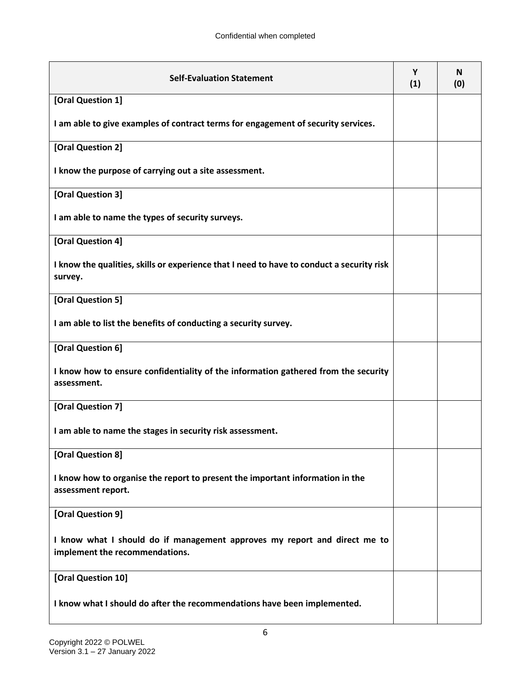| <b>Self-Evaluation Statement</b>                                                                            | Υ<br>(1) | N<br>(0) |
|-------------------------------------------------------------------------------------------------------------|----------|----------|
| [Oral Question 1]                                                                                           |          |          |
| I am able to give examples of contract terms for engagement of security services.                           |          |          |
| [Oral Question 2]                                                                                           |          |          |
| I know the purpose of carrying out a site assessment.                                                       |          |          |
| [Oral Question 3]                                                                                           |          |          |
| I am able to name the types of security surveys.                                                            |          |          |
| [Oral Question 4]                                                                                           |          |          |
| I know the qualities, skills or experience that I need to have to conduct a security risk<br>survey.        |          |          |
| [Oral Question 5]                                                                                           |          |          |
| I am able to list the benefits of conducting a security survey.                                             |          |          |
| [Oral Question 6]                                                                                           |          |          |
| I know how to ensure confidentiality of the information gathered from the security<br>assessment.           |          |          |
| [Oral Question 7]                                                                                           |          |          |
| I am able to name the stages in security risk assessment.                                                   |          |          |
| [Oral Question 8]                                                                                           |          |          |
| I know how to organise the report to present the important information in the<br>assessment report.         |          |          |
| [Oral Question 9]                                                                                           |          |          |
| I know what I should do if management approves my report and direct me to<br>implement the recommendations. |          |          |
| [Oral Question 10]                                                                                          |          |          |
| I know what I should do after the recommendations have been implemented.                                    |          |          |